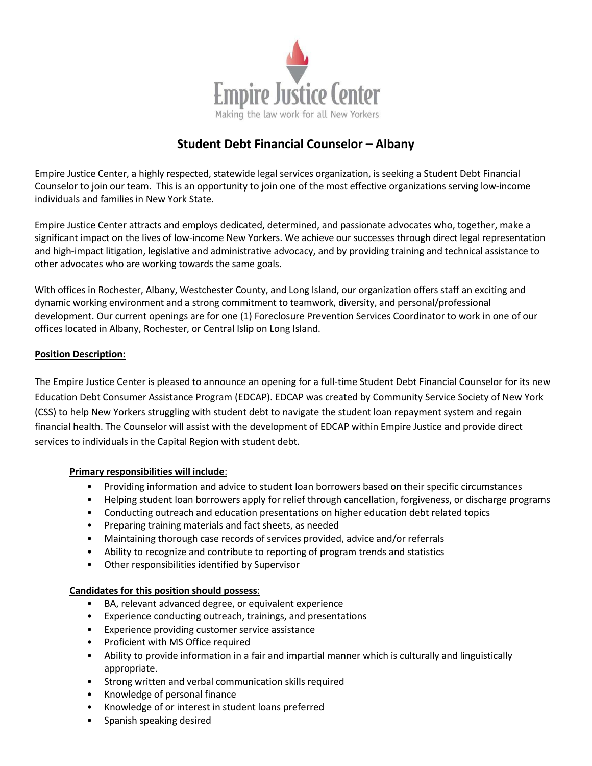

## **Student Debt Financial Counselor – Albany**

Empire Justice Center, a highly respected, statewide legal services organization, is seeking a Student Debt Financial Counselor to join our team. This is an opportunity to join one of the most effective organizations serving low‐income individuals and families in New York State.

Empire Justice Center attracts and employs dedicated, determined, and passionate advocates who, together, make a significant impact on the lives of low-income New Yorkers. We achieve our successes through direct legal representation and high-impact litigation, legislative and administrative advocacy, and by providing training and technical assistance to other advocates who are working towards the same goals.

With offices in Rochester, Albany, Westchester County, and Long Island, our organization offers staff an exciting and dynamic working environment and a strong commitment to teamwork, diversity, and personal/professional development. Our current openings are for one (1) Foreclosure Prevention Services Coordinator to work in one of our offices located in Albany, Rochester, or Central Islip on Long Island.

## **Position Description:**

The Empire Justice Center is pleased to announce an opening for a full-time Student Debt Financial Counselor for its new Education Debt Consumer Assistance Program (EDCAP). EDCAP was created by Community Service Society of New York (CSS) to help New Yorkers struggling with student debt to navigate the student loan repayment system and regain financial health. The Counselor will assist with the development of EDCAP within Empire Justice and provide direct services to individuals in the Capital Region with student debt.

## **Primary responsibilities will include**:

- Providing information and advice to student loan borrowers based on their specific circumstances
- Helping student loan borrowers apply for relief through cancellation, forgiveness, or discharge programs
- Conducting outreach and education presentations on higher education debt related topics
- Preparing training materials and fact sheets, as needed
- Maintaining thorough case records of services provided, advice and/or referrals
- Ability to recognize and contribute to reporting of program trends and statistics
- Other responsibilities identified by Supervisor

## **Candidates for this position should possess**:

- BA, relevant advanced degree, or equivalent experience
- Experience conducting outreach, trainings, and presentations
- Experience providing customer service assistance
- Proficient with MS Office required
- Ability to provide information in a fair and impartial manner which is culturally and linguistically appropriate.
- Strong written and verbal communication skills required
- Knowledge of personal finance
- Knowledge of or interest in student loans preferred
- Spanish speaking desired